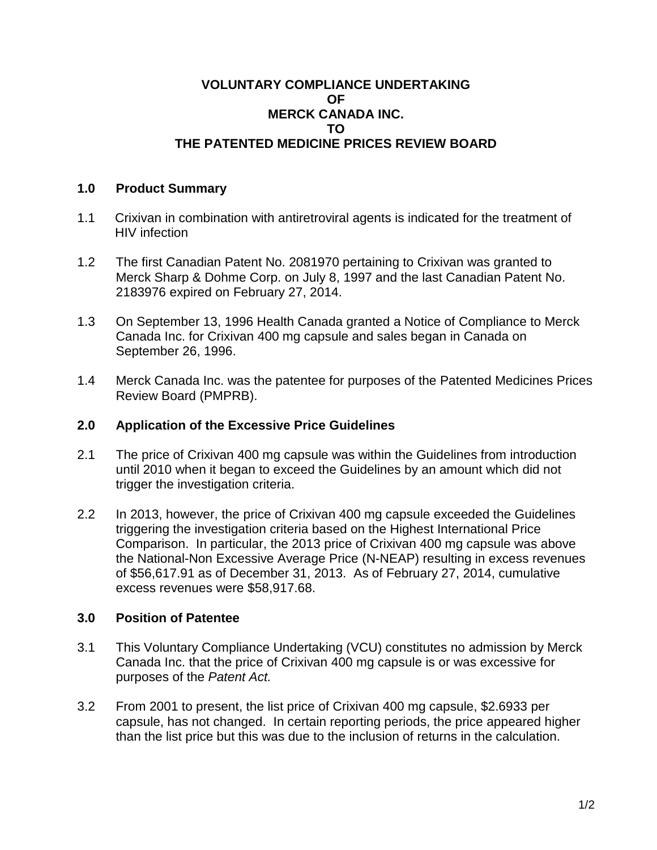## **VOLUNTARY COMPLIANCE UNDERTAKING OF MERCK CANADA INC. TO THE PATENTED MEDICINE PRICES REVIEW BOARD**

## **1.0 Product Summary**

- 1.1 Crixivan in combination with antiretroviral agents is indicated for the treatment of HIV infection
- 1.2 The first Canadian Patent No. 2081970 pertaining to Crixivan was granted to Merck Sharp & Dohme Corp. on July 8, 1997 and the last Canadian Patent No. 2183976 expired on February 27, 2014.
- 1.3 On September 13, 1996 Health Canada granted a Notice of Compliance to Merck Canada Inc. for Crixivan 400 mg capsule and sales began in Canada on September 26, 1996.
- 1.4 Merck Canada Inc. was the patentee for purposes of the Patented Medicines Prices Review Board (PMPRB).

## **2.0 Application of the Excessive Price Guidelines**

- 2.1 The price of Crixivan 400 mg capsule was within the Guidelines from introduction until 2010 when it began to exceed the Guidelines by an amount which did not trigger the investigation criteria.
- 2.2 In 2013, however, the price of Crixivan 400 mg capsule exceeded the Guidelines triggering the investigation criteria based on the Highest International Price Comparison. In particular, the 2013 price of Crixivan 400 mg capsule was above the National-Non Excessive Average Price (N-NEAP) resulting in excess revenues of \$56,617.91 as of December 31, 2013. As of February 27, 2014, cumulative excess revenues were \$58,917.68.

#### **3.0 Position of Patentee**

- 3.1 This Voluntary Compliance Undertaking (VCU) constitutes no admission by Merck Canada Inc. that the price of Crixivan 400 mg capsule is or was excessive for purposes of the *Patent Act.*
- 3.2 From 2001 to present, the list price of Crixivan 400 mg capsule, \$2.6933 per capsule, has not changed. In certain reporting periods, the price appeared higher than the list price but this was due to the inclusion of returns in the calculation.